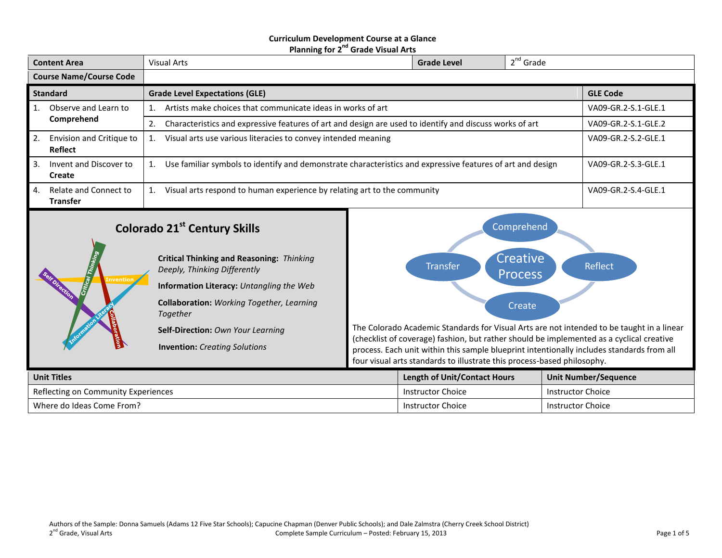#### **Curriculum Development Course at a Glance Planning for 2<sup>nd</sup> Grade Visual Arts**

| <b>Content Area</b>                                                                                                                                                                                                                                                                                                           | <b>Visual Arts</b>                                                                                                                      |                     | <b>Grade Level</b>                                                                                                                                                                                                                                                                                                                                                                                                                                             | $2^{nd}$ Grade |                             |  |
|-------------------------------------------------------------------------------------------------------------------------------------------------------------------------------------------------------------------------------------------------------------------------------------------------------------------------------|-----------------------------------------------------------------------------------------------------------------------------------------|---------------------|----------------------------------------------------------------------------------------------------------------------------------------------------------------------------------------------------------------------------------------------------------------------------------------------------------------------------------------------------------------------------------------------------------------------------------------------------------------|----------------|-----------------------------|--|
|                                                                                                                                                                                                                                                                                                                               |                                                                                                                                         |                     |                                                                                                                                                                                                                                                                                                                                                                                                                                                                |                |                             |  |
| <b>Course Name/Course Code</b>                                                                                                                                                                                                                                                                                                |                                                                                                                                         |                     |                                                                                                                                                                                                                                                                                                                                                                                                                                                                |                |                             |  |
| <b>Standard</b>                                                                                                                                                                                                                                                                                                               | <b>Grade Level Expectations (GLE)</b>                                                                                                   |                     |                                                                                                                                                                                                                                                                                                                                                                                                                                                                |                | <b>GLE Code</b>             |  |
| 1.<br>Observe and Learn to                                                                                                                                                                                                                                                                                                    | Artists make choices that communicate ideas in works of art                                                                             | VA09-GR.2-S.1-GLE.1 |                                                                                                                                                                                                                                                                                                                                                                                                                                                                |                |                             |  |
| Comprehend                                                                                                                                                                                                                                                                                                                    | 2.<br>Characteristics and expressive features of art and design are used to identify and discuss works of art                           | VA09-GR.2-S.1-GLE.2 |                                                                                                                                                                                                                                                                                                                                                                                                                                                                |                |                             |  |
| 2.<br>Envision and Critique to<br>Reflect                                                                                                                                                                                                                                                                                     | Visual arts use various literacies to convey intended meaning<br>1.                                                                     |                     |                                                                                                                                                                                                                                                                                                                                                                                                                                                                |                | VA09-GR.2-S.2-GLE.1         |  |
| 3.<br>Invent and Discover to<br>Create                                                                                                                                                                                                                                                                                        | Use familiar symbols to identify and demonstrate characteristics and expressive features of art and design<br>VA09-GR.2-S.3-GLE.1<br>1. |                     |                                                                                                                                                                                                                                                                                                                                                                                                                                                                |                |                             |  |
| Relate and Connect to<br>4.<br><b>Transfer</b>                                                                                                                                                                                                                                                                                | Visual arts respond to human experience by relating art to the community<br>VA09-GR.2-S.4-GLE.1<br>1.                                   |                     |                                                                                                                                                                                                                                                                                                                                                                                                                                                                |                |                             |  |
| <b>Colorado 21st Century Skills</b><br><b>Critical Thinking and Reasoning: Thinking</b><br>Deeply, Thinking Differently<br><b>Invention</b><br>Information Literacy: Untangling the Web<br>Collaboration: Working Together, Learning<br>Together<br>Self-Direction: Own Your Learning<br><b>Invention:</b> Creating Solutions |                                                                                                                                         |                     | Comprehend<br>Creative <sup>®</sup><br>Reflect<br><b>Transfer</b><br><b>Process</b><br>Create<br>The Colorado Academic Standards for Visual Arts are not intended to be taught in a linear<br>(checklist of coverage) fashion, but rather should be implemented as a cyclical creative<br>process. Each unit within this sample blueprint intentionally includes standards from all<br>four visual arts standards to illustrate this process-based philosophy. |                |                             |  |
| <b>Unit Titles</b>                                                                                                                                                                                                                                                                                                            |                                                                                                                                         |                     | <b>Length of Unit/Contact Hours</b>                                                                                                                                                                                                                                                                                                                                                                                                                            |                | <b>Unit Number/Sequence</b> |  |
| Reflecting on Community Experiences                                                                                                                                                                                                                                                                                           |                                                                                                                                         |                     | <b>Instructor Choice</b>                                                                                                                                                                                                                                                                                                                                                                                                                                       |                | <b>Instructor Choice</b>    |  |
| Where do Ideas Come From?                                                                                                                                                                                                                                                                                                     |                                                                                                                                         |                     | <b>Instructor Choice</b>                                                                                                                                                                                                                                                                                                                                                                                                                                       |                | <b>Instructor Choice</b>    |  |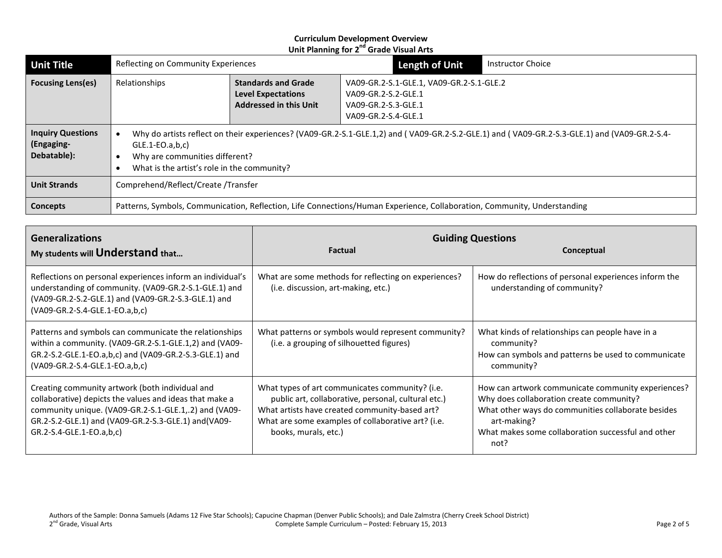| <b>Unit Title</b>                                     | Reflecting on Community Experiences                                                                                      |                                                                                                                                                                                             | <b>Length of Unit</b>                                                                                         | <b>Instructor Choice</b> |  |
|-------------------------------------------------------|--------------------------------------------------------------------------------------------------------------------------|---------------------------------------------------------------------------------------------------------------------------------------------------------------------------------------------|---------------------------------------------------------------------------------------------------------------|--------------------------|--|
| <b>Focusing Lens(es)</b>                              | Relationships                                                                                                            | <b>Standards and Grade</b><br><b>Level Expectations</b><br><b>Addressed in this Unit</b>                                                                                                    | VA09-GR.2-S.1-GLE.1, VA09-GR.2-S.1-GLE.2<br>VA09-GR.2-S.2-GLE.1<br>VA09-GR.2-S.3-GLE.1<br>VA09-GR.2-S.4-GLE.1 |                          |  |
| <b>Inquiry Questions</b><br>(Engaging-<br>Debatable): | $GLE.1-EO.a,b,c)$<br>Why are communities different?                                                                      | Why do artists reflect on their experiences? (VA09-GR.2-S.1-GLE.1,2) and (VA09-GR.2-S.2-GLE.1) and (VA09-GR.2-S.3-GLE.1) and (VA09-GR.2-S.4-<br>What is the artist's role in the community? |                                                                                                               |                          |  |
| <b>Unit Strands</b>                                   | Comprehend/Reflect/Create/Transfer                                                                                       |                                                                                                                                                                                             |                                                                                                               |                          |  |
| Concepts                                              | Patterns, Symbols, Communication, Reflection, Life Connections/Human Experience, Collaboration, Community, Understanding |                                                                                                                                                                                             |                                                                                                               |                          |  |

| <b>Generalizations</b><br>My students will Understand that                                                                                                                                                                                              | <b>Guiding Questions</b><br><b>Factual</b><br>Conceptual                                                                                                                                                                               |                                                                                                                                                                                                                                   |  |  |
|---------------------------------------------------------------------------------------------------------------------------------------------------------------------------------------------------------------------------------------------------------|----------------------------------------------------------------------------------------------------------------------------------------------------------------------------------------------------------------------------------------|-----------------------------------------------------------------------------------------------------------------------------------------------------------------------------------------------------------------------------------|--|--|
|                                                                                                                                                                                                                                                         |                                                                                                                                                                                                                                        |                                                                                                                                                                                                                                   |  |  |
| Reflections on personal experiences inform an individual's<br>understanding of community. (VA09-GR.2-S.1-GLE.1) and<br>(VA09-GR.2-S.2-GLE.1) and (VA09-GR.2-S.3-GLE.1) and<br>(VA09-GR.2-S.4-GLE.1-EO.a,b,c)                                            | What are some methods for reflecting on experiences?<br>(i.e. discussion, art-making, etc.)                                                                                                                                            | How do reflections of personal experiences inform the<br>understanding of community?                                                                                                                                              |  |  |
| Patterns and symbols can communicate the relationships<br>within a community. (VA09-GR.2-S.1-GLE.1,2) and (VA09-<br>GR.2-S.2-GLE.1-EO.a,b,c) and (VA09-GR.2-S.3-GLE.1) and<br>(VA09-GR.2-S.4-GLE.1-EO.a,b,c)                                            | What patterns or symbols would represent community?<br>(i.e. a grouping of silhouetted figures)                                                                                                                                        | What kinds of relationships can people have in a<br>community?<br>How can symbols and patterns be used to communicate<br>community?                                                                                               |  |  |
| Creating community artwork (both individual and<br>collaborative) depicts the values and ideas that make a<br>community unique. (VA09-GR.2-S.1-GLE.1,.2) and (VA09-<br>GR.2-S.2-GLE.1) and (VA09-GR.2-S.3-GLE.1) and (VA09-<br>GR.2-S.4-GLE.1-EO.a,b,c) | What types of art communicates community? (i.e.<br>public art, collaborative, personal, cultural etc.)<br>What artists have created community-based art?<br>What are some examples of collaborative art? (i.e.<br>books, murals, etc.) | How can artwork communicate community experiences?<br>Why does collaboration create community?<br>What other ways do communities collaborate besides<br>art-making?<br>What makes some collaboration successful and other<br>not? |  |  |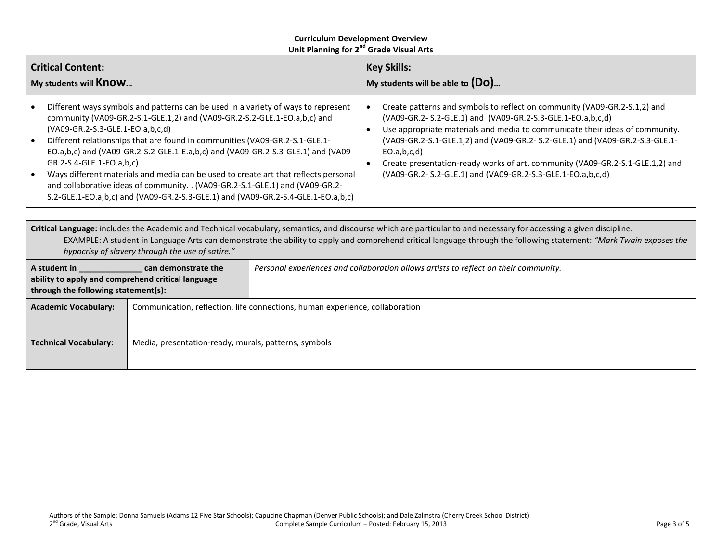| <b>Critical Content:</b><br>My students will <b>Know</b> |                                                                                                                                                                                                                                                                                                                                                                                                                                                                                                                                                                                                                                                              | <b>Key Skills:</b><br>My students will be able to $(Do)$ |                                                                                                                                                                                                                                                                                                                                                                                                                                                                         |  |  |
|----------------------------------------------------------|--------------------------------------------------------------------------------------------------------------------------------------------------------------------------------------------------------------------------------------------------------------------------------------------------------------------------------------------------------------------------------------------------------------------------------------------------------------------------------------------------------------------------------------------------------------------------------------------------------------------------------------------------------------|----------------------------------------------------------|-------------------------------------------------------------------------------------------------------------------------------------------------------------------------------------------------------------------------------------------------------------------------------------------------------------------------------------------------------------------------------------------------------------------------------------------------------------------------|--|--|
| $\bullet$<br>$\bullet$<br>$\bullet$                      | Different ways symbols and patterns can be used in a variety of ways to represent<br>community (VA09-GR.2-S.1-GLE.1,2) and (VA09-GR.2-S.2-GLE.1-EO.a,b,c) and<br>(VA09-GR.2-S.3-GLE.1-EO.a,b,c,d)<br>Different relationships that are found in communities (VA09-GR.2-S.1-GLE.1-<br>EO.a,b,c) and (VA09-GR.2-S.2-GLE.1-E.a,b,c) and (VA09-GR.2-S.3-GLE.1) and (VA09-<br>GR.2-S.4-GLE.1-EO.a,b,c)<br>Ways different materials and media can be used to create art that reflects personal<br>and collaborative ideas of community. . (VA09-GR.2-S.1-GLE.1) and (VA09-GR.2-<br>S.2-GLE.1-EO.a,b,c) and (VA09-GR.2-S.3-GLE.1) and (VA09-GR.2-S.4-GLE.1-EO.a,b,c) |                                                          | Create patterns and symbols to reflect on community (VA09-GR.2-S.1,2) and<br>(VA09-GR.2- S.2-GLE.1) and (VA09-GR.2-S.3-GLE.1-EO.a,b,c,d)<br>Use appropriate materials and media to communicate their ideas of community.<br>(VA09-GR.2-S.1-GLE.1,2) and (VA09-GR.2- S.2-GLE.1) and (VA09-GR.2-S.3-GLE.1-<br>EO.a,b,c,d)<br>Create presentation-ready works of art. community (VA09-GR.2-S.1-GLE.1,2) and<br>(VA09-GR.2- S.2-GLE.1) and (VA09-GR.2-S.3-GLE.1-EO.a,b,c,d) |  |  |
|                                                          |                                                                                                                                                                                                                                                                                                                                                                                                                                                                                                                                                                                                                                                              |                                                          |                                                                                                                                                                                                                                                                                                                                                                                                                                                                         |  |  |
|                                                          | Critical Language: includes the Academic and Technical vocabulary, semantics, and discourse which are particular to and necessary for accessing a given discipline.<br>$\Gamma$ VAAADL $\Gamma$ : A student in Leepman Anti-en-Henric student the shifted behavioral control behavioral theory the following statement. WAAmle $\tau$ which can see the                                                                                                                                                                                                                                                                                                      |                                                          |                                                                                                                                                                                                                                                                                                                                                                                                                                                                         |  |  |

EXAMPLE: A student in Language Arts can demonstrate the ability to apply and comprehend critical language through the following statement: *"Mark Twain exposes the hypocrisy of slavery through the use of satire."*

| A student in<br>can demonstrate the<br>ability to apply and comprehend critical language<br>through the following statement(s): |                                                      | Personal experiences and collaboration allows artists to reflect on their community. |
|---------------------------------------------------------------------------------------------------------------------------------|------------------------------------------------------|--------------------------------------------------------------------------------------|
| <b>Academic Vocabulary:</b>                                                                                                     |                                                      | Communication, reflection, life connections, human experience, collaboration         |
|                                                                                                                                 |                                                      |                                                                                      |
| <b>Technical Vocabulary:</b>                                                                                                    | Media, presentation-ready, murals, patterns, symbols |                                                                                      |
|                                                                                                                                 |                                                      |                                                                                      |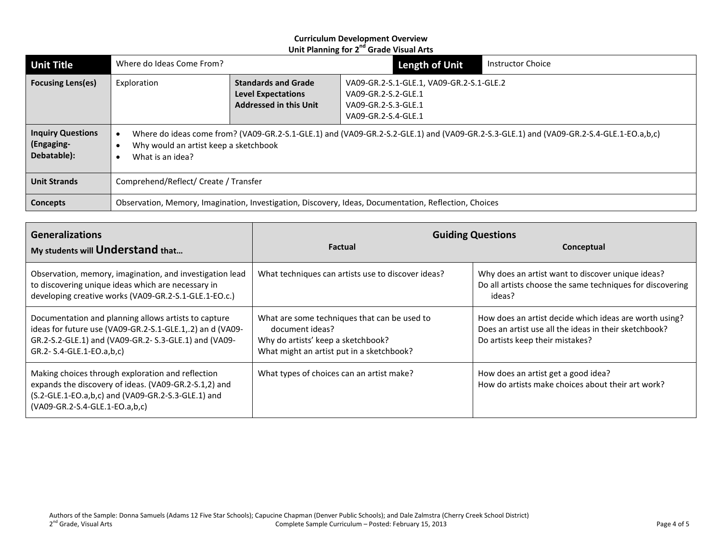| <b>Unit Title</b>                                     | Where do Ideas Come From?                                                                             |                                                                                                                                        | <b>Length of Unit</b>                                                                                         | <b>Instructor Choice</b> |  |  |
|-------------------------------------------------------|-------------------------------------------------------------------------------------------------------|----------------------------------------------------------------------------------------------------------------------------------------|---------------------------------------------------------------------------------------------------------------|--------------------------|--|--|
| <b>Focusing Lens(es)</b>                              | Exploration                                                                                           | <b>Standards and Grade</b><br><b>Level Expectations</b><br><b>Addressed in this Unit</b>                                               | VA09-GR.2-S.1-GLE.1, VA09-GR.2-S.1-GLE.2<br>VA09-GR.2-S.2-GLE.1<br>VA09-GR.2-S.3-GLE.1<br>VA09-GR.2-S.4-GLE.1 |                          |  |  |
| <b>Inquiry Questions</b><br>(Engaging-<br>Debatable): | Why would an artist keep a sketchbook<br>What is an idea?                                             | Where do ideas come from? (VA09-GR.2-S.1-GLE.1) and (VA09-GR.2-S.2-GLE.1) and (VA09-GR.2-S.3-GLE.1) and (VA09-GR.2-S.4-GLE.1-EO.a,b,c) |                                                                                                               |                          |  |  |
| <b>Unit Strands</b>                                   | Comprehend/Reflect/ Create / Transfer                                                                 |                                                                                                                                        |                                                                                                               |                          |  |  |
| <b>Concepts</b>                                       | Observation, Memory, Imagination, Investigation, Discovery, Ideas, Documentation, Reflection, Choices |                                                                                                                                        |                                                                                                               |                          |  |  |

| <b>Generalizations</b>                                                                                                                                                                                  | <b>Guiding Questions</b>                                                                                                                           |                                                                                                                                                    |  |  |  |
|---------------------------------------------------------------------------------------------------------------------------------------------------------------------------------------------------------|----------------------------------------------------------------------------------------------------------------------------------------------------|----------------------------------------------------------------------------------------------------------------------------------------------------|--|--|--|
| My students will Understand that                                                                                                                                                                        | <b>Factual</b>                                                                                                                                     | Conceptual                                                                                                                                         |  |  |  |
| Observation, memory, imagination, and investigation lead<br>to discovering unique ideas which are necessary in<br>developing creative works (VA09-GR.2-S.1-GLE.1-EO.c.)                                 | What techniques can artists use to discover ideas?                                                                                                 | Why does an artist want to discover unique ideas?<br>Do all artists choose the same techniques for discovering<br>ideas?                           |  |  |  |
| Documentation and planning allows artists to capture<br>ideas for future use (VA09-GR.2-S.1-GLE.1,.2) an d (VA09-<br>GR.2-S.2-GLE.1) and (VA09-GR.2- S.3-GLE.1) and (VA09-<br>GR.2- S.4-GLE.1-EO.a,b,c) | What are some techniques that can be used to<br>document ideas?<br>Why do artists' keep a sketchbook?<br>What might an artist put in a sketchbook? | How does an artist decide which ideas are worth using?<br>Does an artist use all the ideas in their sketchbook?<br>Do artists keep their mistakes? |  |  |  |
| Making choices through exploration and reflection<br>expands the discovery of ideas. (VA09-GR.2-S.1,2) and<br>(S.2-GLE.1-EO.a,b,c) and (VA09-GR.2-S.3-GLE.1) and<br>(VA09-GR.2-S.4-GLE.1-EO.a,b,c)      | What types of choices can an artist make?                                                                                                          | How does an artist get a good idea?<br>How do artists make choices about their art work?                                                           |  |  |  |